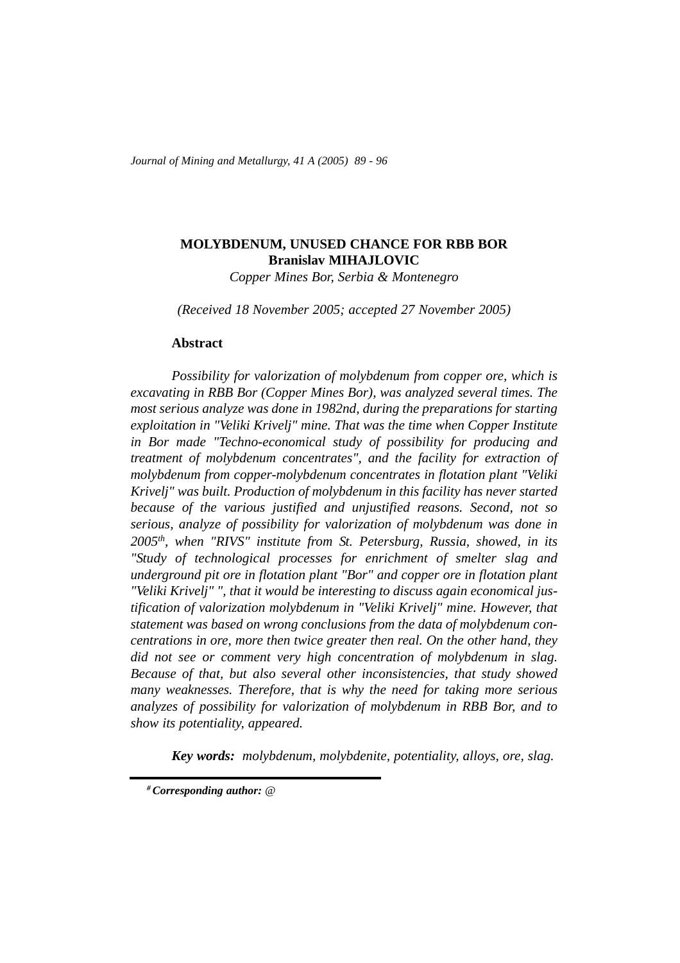*Journal of Mining and Metallurgy, 41 A (2005) 89 - 96*

# **MOLYBDENUM, UNUSED CHANCE FOR RBB BOR Branislav MIHAJLOVIC**

*Copper Mines Bor, Serbia & Montenegro*

*(Received 18 November 2005; accepted 27 November 2005)*

#### **Abstract**

*Possibility for valorization of molybdenum from copper ore, which is excavating in RBB Bor (Copper Mines Bor), was analyzed several times. The most serious analyze was done in 1982nd, during the preparations for starting exploitation in "Veliki Krivelj" mine. That was the time when Copper Institute in Bor made "Techno-economical study of possibility for producing and treatment of molybdenum concentrates", and the facility for extraction of molybdenum from copper-molybdenum concentrates in flotation plant "Veliki Krivelj" was built. Production of molybdenum in this facility has never started because of the various justified and unjustified reasons. Second, not so serious, analyze of possibility for valorization of molybdenum was done in 2005th, when "RIVS" institute from St. Petersburg, Russia, showed, in its "Study of technological processes for enrichment of smelter slag and underground pit ore in flotation plant "Bor" and copper ore in flotation plant "Veliki Krivelj" ", that it would be interesting to discuss again economical justification of valorization molybdenum in "Veliki Krivelj" mine. However, that statement was based on wrong conclusions from the data of molybdenum concentrations in ore, more then twice greater then real. On the other hand, they did not see or comment very high concentration of molybdenum in slag. Because of that, but also several other inconsistencies, that study showed many weaknesses. Therefore, that is why the need for taking more serious analyzes of possibility for valorization of molybdenum in RBB Bor, and to show its potentiality, appeared.* 

*Key words: molybdenum, molybdenite, potentiality, alloys, ore, slag.*

*<sup>#</sup> Corresponding author: @*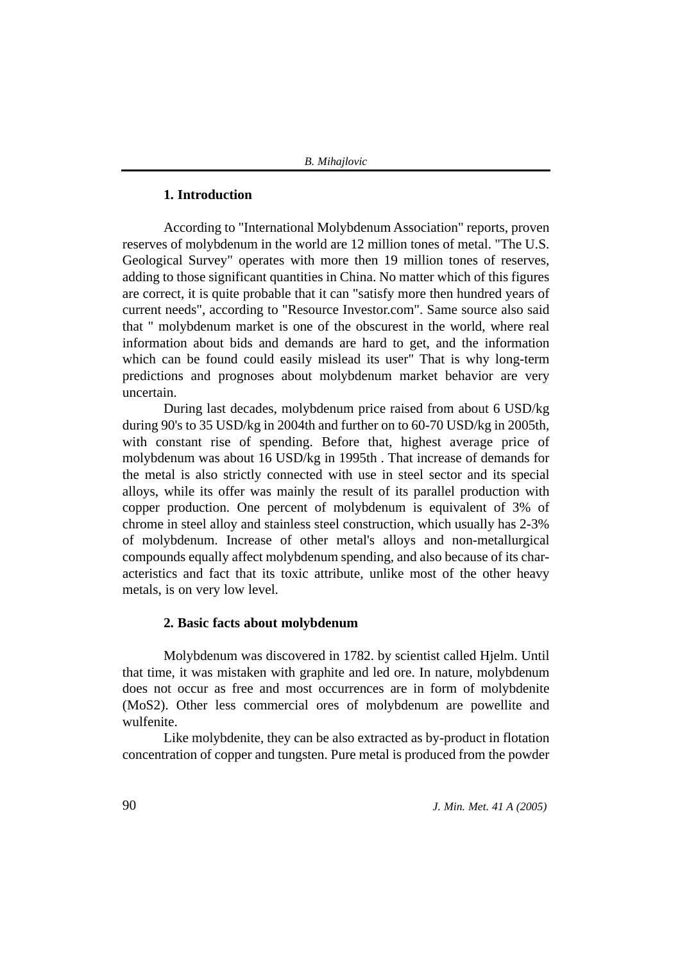# **1. Introduction**

According to "International Molybdenum Association" reports, proven reserves of molybdenum in the world are 12 million tones of metal. "The U.S. Geological Survey" operates with more then 19 million tones of reserves, adding to those significant quantities in China. No matter which of this figures are correct, it is quite probable that it can "satisfy more then hundred years of current needs", according to "Resource Investor.com". Same source also said that " molybdenum market is one of the obscurest in the world, where real information about bids and demands are hard to get, and the information which can be found could easily mislead its user" That is why long-term predictions and prognoses about molybdenum market behavior are very uncertain.

During last decades, molybdenum price raised from about 6 USD/kg during 90's to 35 USD/kg in 2004th and further on to 60-70 USD/kg in 2005th, with constant rise of spending. Before that, highest average price of molybdenum was about 16 USD/kg in 1995th . That increase of demands for the metal is also strictly connected with use in steel sector and its special alloys, while its offer was mainly the result of its parallel production with copper production. One percent of molybdenum is equivalent of 3% of chrome in steel alloy and stainless steel construction, which usually has 2-3% of molybdenum. Increase of other metal's alloys and non-metallurgical compounds equally affect molybdenum spending, and also because of its characteristics and fact that its toxic attribute, unlike most of the other heavy metals, is on very low level.

### **2. Basic facts about molybdenum**

Molybdenum was discovered in 1782. by scientist called Hjelm. Until that time, it was mistaken with graphite and led ore. In nature, molybdenum does not occur as free and most occurrences are in form of molybdenite (MoS2). Other less commercial ores of molybdenum are powellite and wulfenite.

Like molybdenite, they can be also extracted as by-product in flotation concentration of copper and tungsten. Pure metal is produced from the powder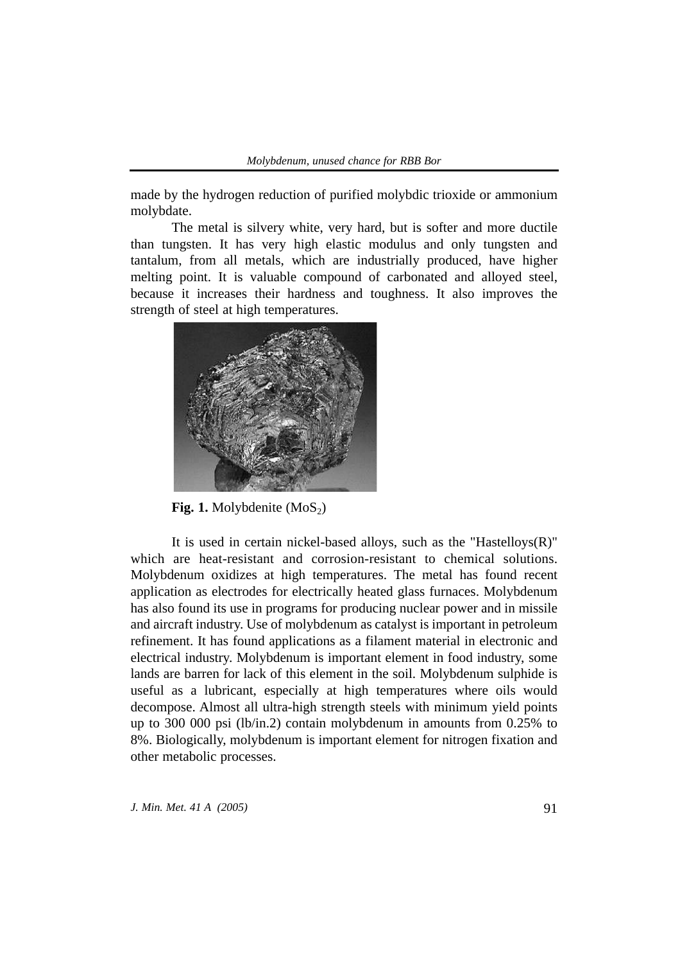made by the hydrogen reduction of purified molybdic trioxide or ammonium molybdate.

The metal is silvery white, very hard, but is softer and more ductile than tungsten. It has very high elastic modulus and only tungsten and tantalum, from all metals, which are industrially produced, have higher melting point. It is valuable compound of carbonated and alloyed steel, because it increases their hardness and toughness. It also improves the strength of steel at high temperatures.



**Fig. 1.** Molybdenite (MoS<sub>2</sub>)

It is used in certain nickel-based alloys, such as the "Hastelloys(R)" which are heat-resistant and corrosion-resistant to chemical solutions. Molybdenum oxidizes at high temperatures. The metal has found recent application as electrodes for electrically heated glass furnaces. Molybdenum has also found its use in programs for producing nuclear power and in missile and aircraft industry. Use of molybdenum as catalyst is important in petroleum refinement. It has found applications as a filament material in electronic and electrical industry. Molybdenum is important element in food industry, some lands are barren for lack of this element in the soil. Molybdenum sulphide is useful as a lubricant, especially at high temperatures where oils would decompose. Almost all ultra-high strength steels with minimum yield points up to 300 000 psi (lb/in.2) contain molybdenum in amounts from 0.25% to 8%. Biologically, molybdenum is important element for nitrogen fixation and other metabolic processes.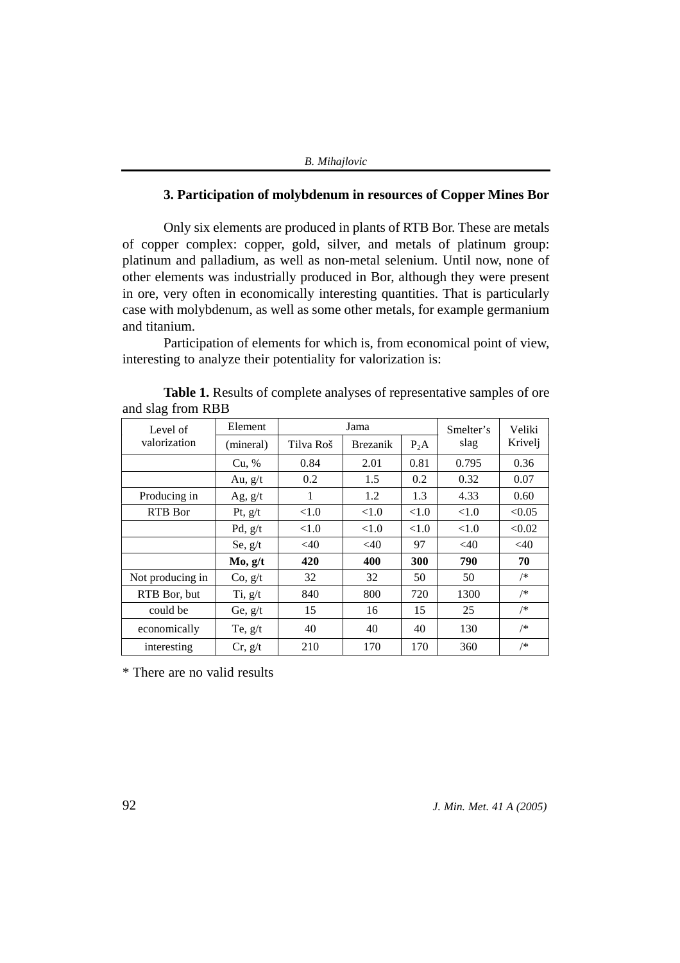|  | <b>B.</b> Mihajlovic |  |
|--|----------------------|--|
|--|----------------------|--|

## **3. Participation of molybdenum in resources of Copper Mines Bor**

Only six elements are produced in plants of RTB Bor. These are metals of copper complex: copper, gold, silver, and metals of platinum group: platinum and palladium, as well as non-metal selenium. Until now, none of other elements was industrially produced in Bor, although they were present in ore, very often in economically interesting quantities. That is particularly case with molybdenum, as well as some other metals, for example germanium and titanium.

Participation of elements for which is, from economical point of view, interesting to analyze their potentiality for valorization is:

| $\frac{1}{2}$    |           |           |                 |        |           |         |
|------------------|-----------|-----------|-----------------|--------|-----------|---------|
| Level of         | Element   | Jama      |                 |        | Smelter's | Veliki  |
| valorization     | (mineral) | Tilva Roš | <b>Brezanik</b> | $P_2A$ | slag      | Krivelj |
|                  | Cu, %     | 0.84      | 2.01            | 0.81   | 0.795     | 0.36    |
|                  | Au, $g/t$ | 0.2       | 1.5             | 0.2    | 0.32      | 0.07    |
| Producing in     | Ag, $g/t$ | 1         | 1.2             | 1.3    | 4.33      | 0.60    |
| RTB Bor          | Pt, $g/t$ | <1.0      | < 1.0           | < 1.0  | < 1.0     | < 0.05  |
|                  | Pd, $g/t$ | < 1.0     | < 1.0           | < 1.0  | < 1.0     | < 0.02  |
|                  | Se, $g/t$ | <40       | <40             | 97     | $<$ 40    | <40     |
|                  | Mo, g/t   | 420       | 400             | 300    | 790       | 70      |
| Not producing in | Co, g/t   | 32        | 32              | 50     | 50        | /*      |
| RTB Bor, but     | Ti, g/t   | 840       | 800             | 720    | 1300      | /*      |
| could be         | Ge, $g/t$ | 15        | 16              | 15     | 25        | /*      |
| economically     | Te, $g/t$ | 40        | 40              | 40     | 130       | /*      |
| interesting      | Cr, g/t   | 210       | 170             | 170    | 360       | /*      |

**Table 1.** Results of complete analyses of representative samples of ore and slag from RBB

\* There are no valid results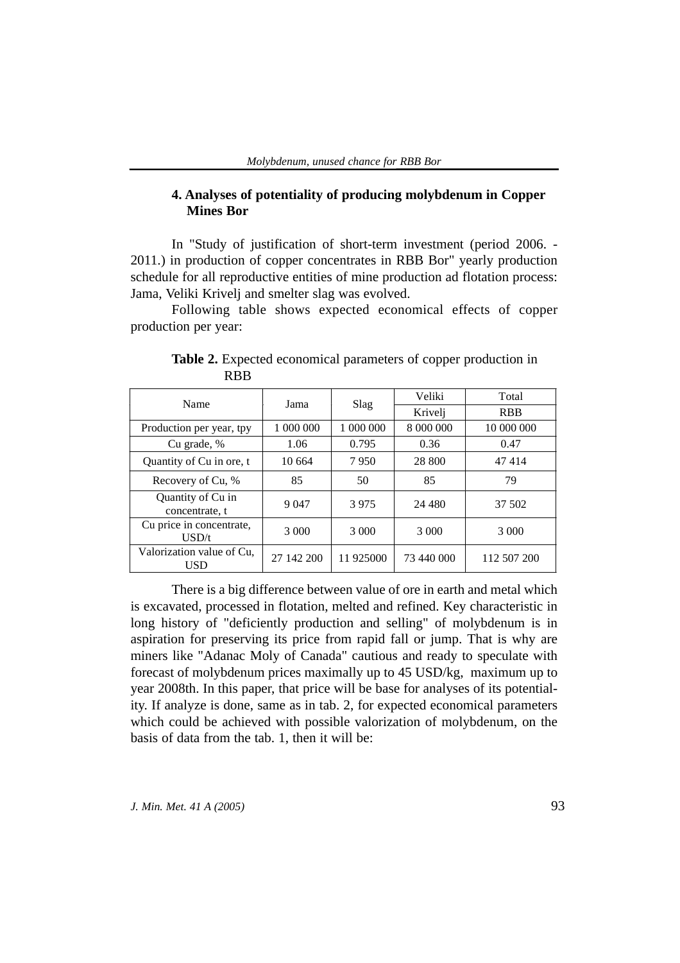## **4. Analyses of potentiality of producing molybdenum in Copper Mines Bor**

In "Study of justification of short-term investment (period 2006. - 2011.) in production of copper concentrates in RBB Bor" yearly production schedule for all reproductive entities of mine production ad flotation process: Jama, Veliki Krivelj and smelter slag was evolved.

Following table shows expected economical effects of copper production per year:

| Name                                | Jama       |           | Veliki     | Total       |
|-------------------------------------|------------|-----------|------------|-------------|
|                                     |            | Slag      | Krivelj    | <b>RBB</b>  |
| Production per year, tpy            | 1 000 000  | 1 000 000 | 8 000 000  | 10 000 000  |
| Cu grade, %                         | 1.06       | 0.795     | 0.36       | 0.47        |
| Quantity of Cu in ore, t            | 10 664     | 7950      | 28 800     | 47414       |
| Recovery of Cu, %                   | 85         | 50        | 85         | 79          |
| Quantity of Cu in<br>concentrate, t | 9 0 4 7    | 3975      | 24 480     | 37 502      |
| Cu price in concentrate,<br>USD/t   | 3 000      | 3 0 0 0   | 3 0 0 0    | 3 0 0 0     |
| Valorization value of Cu.<br>USD    | 27 142 200 | 11 925000 | 73 440 000 | 112 507 200 |

**Table 2.** Expected economical parameters of copper production in RBB

There is a big difference between value of ore in earth and metal which is excavated, processed in flotation, melted and refined. Key characteristic in long history of "deficiently production and selling" of molybdenum is in aspiration for preserving its price from rapid fall or jump. That is why are miners like "Adanac Moly of Canada" cautious and ready to speculate with forecast of molybdenum prices maximally up to 45 USD/kg, maximum up to year 2008th. In this paper, that price will be base for analyses of its potentiality. If analyze is done, same as in tab. 2, for expected economical parameters which could be achieved with possible valorization of molybdenum, on the basis of data from the tab. 1, then it will be: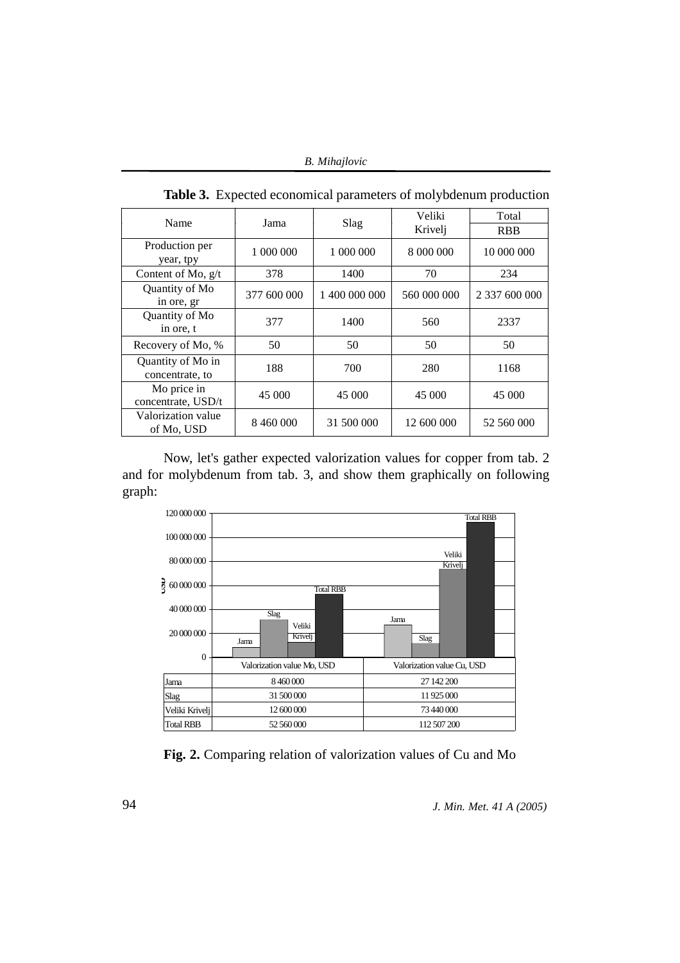| Name                         | Jama        | Slag          | Veliki      | Total         |  |
|------------------------------|-------------|---------------|-------------|---------------|--|
|                              |             |               | Krivelj     | <b>RBB</b>    |  |
| Production per               | 1 000 000   | 1 000 000     | 8 000 000   | 10 000 000    |  |
| year, tpy                    |             |               |             |               |  |
| Content of Mo, $g/t$         | 378         | 1400          | 70          | 234           |  |
| Quantity of Mo               |             |               |             |               |  |
| in ore, gr                   | 377 600 000 | 1 400 000 000 | 560 000 000 | 2 337 600 000 |  |
| Quantity of Mo               | 377         | 1400          | 560         | 2337          |  |
| in ore, t                    |             |               |             |               |  |
| Recovery of Mo, %            | 50          | 50            | 50          | 50            |  |
| Quantity of Mo in            | 188         | 700           | 280         | 1168          |  |
| concentrate, to              |             |               |             |               |  |
| Mo price in                  |             | 45 000        | 45 000      |               |  |
| 45 000<br>concentrate, USD/t |             |               |             | 45 000        |  |
| Valorization value           | 8 460 000   | 31 500 000    | 12 600 000  | 52 560 000    |  |
| of Mo, USD                   |             |               |             |               |  |

**Table 3.** Expected economical parameters of molybdenum production

Now, let's gather expected valorization values for copper from tab. 2 and for molybdenum from tab. 3, and show them graphically on following graph:



**Fig. 2.** Comparing relation of valorization values of Cu and Mo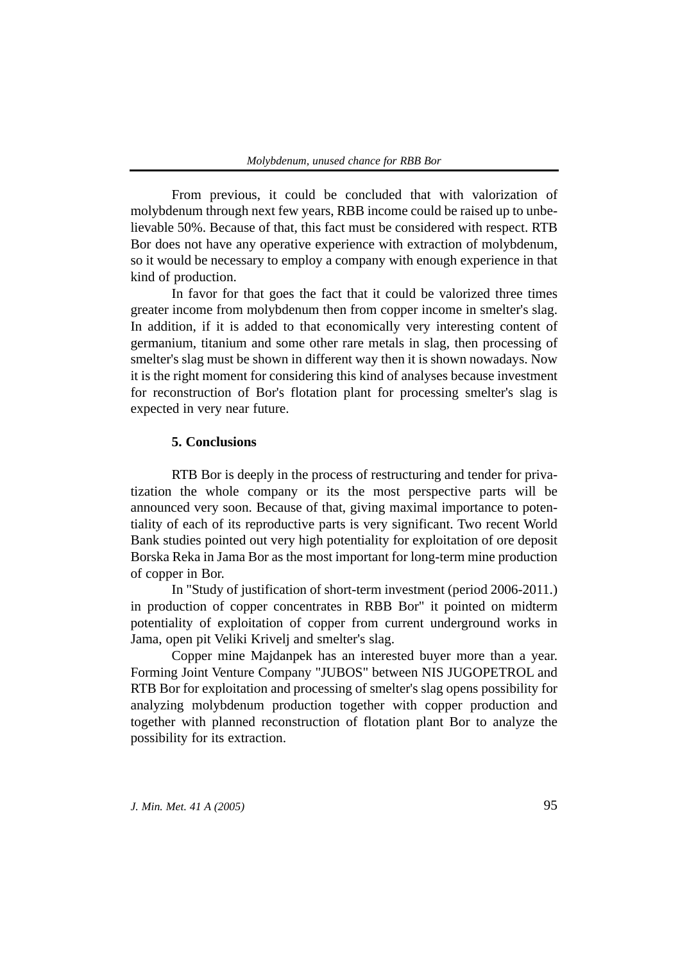From previous, it could be concluded that with valorization of molybdenum through next few years, RBB income could be raised up to unbelievable 50%. Because of that, this fact must be considered with respect. RTB Bor does not have any operative experience with extraction of molybdenum, so it would be necessary to employ a company with enough experience in that kind of production.

In favor for that goes the fact that it could be valorized three times greater income from molybdenum then from copper income in smelter's slag. In addition, if it is added to that economically very interesting content of germanium, titanium and some other rare metals in slag, then processing of smelter's slag must be shown in different way then it is shown nowadays. Now it is the right moment for considering this kind of analyses because investment for reconstruction of Bor's flotation plant for processing smelter's slag is expected in very near future.

#### **5. Conclusions**

RTB Bor is deeply in the process of restructuring and tender for privatization the whole company or its the most perspective parts will be announced very soon. Because of that, giving maximal importance to potentiality of each of its reproductive parts is very significant. Two recent World Bank studies pointed out very high potentiality for exploitation of ore deposit Borska Reka in Jama Bor as the most important for long-term mine production of copper in Bor.

In "Study of justification of short-term investment (period 2006-2011.) in production of copper concentrates in RBB Bor" it pointed on midterm potentiality of exploitation of copper from current underground works in Jama, open pit Veliki Krivelj and smelter's slag.

Copper mine Majdanpek has an interested buyer more than a year. Forming Joint Venture Company "JUBOS" between NIS JUGOPETROL and RTB Bor for exploitation and processing of smelter's slag opens possibility for analyzing molybdenum production together with copper production and together with planned reconstruction of flotation plant Bor to analyze the possibility for its extraction.